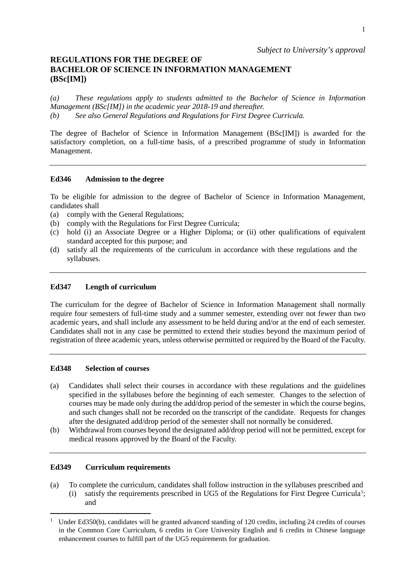## **REGULATIONS FOR THE DEGREE OF BACHELOR OF SCIENCE IN INFORMATION MANAGEMENT (BSc[IM])**

*(a) These regulations apply to students admitted to the Bachelor of Science in Information Management (BSc[IM]) in the academic year 2018-19 and thereafter. (b) See also General Regulations and Regulations for First Degree Curricula.*

The degree of Bachelor of Science in Information Management (BSc[IM]) is awarded for the satisfactory completion, on a full-time basis, of a prescribed programme of study in Information Management.

## **Ed346 Admission to the degree**

To be eligible for admission to the degree of Bachelor of Science in Information Management, candidates shall

- (a) comply with the General Regulations;
- (b) comply with the Regulations for First Degree Curricula;
- (c) hold (i) an Associate Degree or a Higher Diploma; or (ii) other qualifications of equivalent standard accepted for this purpose; and
- (d) satisfy all the requirements of the curriculum in accordance with these regulations and the syllabuses.

### **Ed347 Length of curriculum**

The curriculum for the degree of Bachelor of Science in Information Management shall normally require four semesters of full-time study and a summer semester, extending over not fewer than two academic years, and shall include any assessment to be held during and/or at the end of each semester. Candidates shall not in any case be permitted to extend their studies beyond the maximum period of registration of three academic years, unless otherwise permitted or required by the Board of the Faculty.

#### **Ed348 Selection of courses**

- (a) Candidates shall select their courses in accordance with these regulations and the guidelines specified in the syllabuses before the beginning of each semester. Changes to the selection of courses may be made only during the add/drop period of the semester in which the course begins, and such changes shall not be recorded on the transcript of the candidate. Requests for changes after the designated add/drop period of the semester shall not normally be considered.
- (b) Withdrawal from courses beyond the designated add/drop period will not be permitted, except for medical reasons approved by the Board of the Faculty.

#### **Ed349 Curriculum requirements**

(a) To complete the curriculum, candidates shall follow instruction in the syllabuses prescribed and (i) satisfy the requirements prescribed in UG5 of the Regulations for First Degree Curricula<sup>[1](#page-0-0)</sup>; and

<span id="page-0-0"></span><sup>&</sup>lt;sup>1</sup> Under Ed350(b), candidates will be granted advanced standing of 120 credits, including 24 credits of courses in the Common Core Curriculum, 6 credits in Core University English and 6 credits in Chinese language enhancement courses to fulfill part of the UG5 requirements for graduation.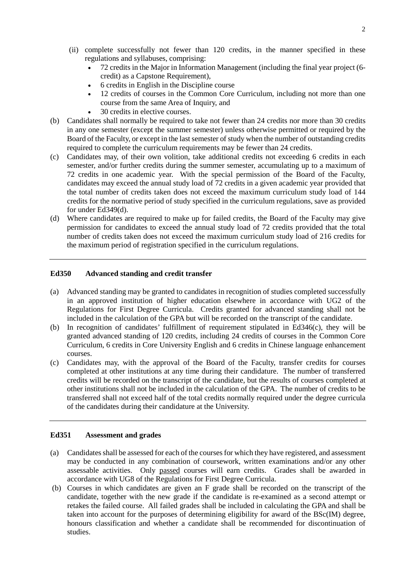- (ii) complete successfully not fewer than 120 credits, in the manner specified in these regulations and syllabuses, comprising:
	- 72 credits in the Major in Information Management (including the final year project (6 credit) as a Capstone Requirement),
	- 6 credits in English in the Discipline course
	- 12 credits of courses in the Common Core Curriculum, including not more than one course from the same Area of Inquiry, and
	- 30 credits in elective courses.
- (b) Candidates shall normally be required to take not fewer than 24 credits nor more than 30 credits in any one semester (except the summer semester) unless otherwise permitted or required by the Board of the Faculty, or except in the last semester of study when the number of outstanding credits required to complete the curriculum requirements may be fewer than 24 credits.
- (c) Candidates may, of their own volition, take additional credits not exceeding 6 credits in each semester, and/or further credits during the summer semester, accumulating up to a maximum of 72 credits in one academic year. With the special permission of the Board of the Faculty, candidates may exceed the annual study load of 72 credits in a given academic year provided that the total number of credits taken does not exceed the maximum curriculum study load of 144 credits for the normative period of study specified in the curriculum regulations, save as provided for under Ed349(d).
- (d) Where candidates are required to make up for failed credits, the Board of the Faculty may give permission for candidates to exceed the annual study load of 72 credits provided that the total number of credits taken does not exceed the maximum curriculum study load of 216 credits for the maximum period of registration specified in the curriculum regulations.

## **Ed350 Advanced standing and credit transfer**

- (a) Advanced standing may be granted to candidates in recognition of studies completed successfully in an approved institution of higher education elsewhere in accordance with UG2 of the Regulations for First Degree Curricula. Credits granted for advanced standing shall not be included in the calculation of the GPA but will be recorded on the transcript of the candidate.
- (b) In recognition of candidates' fulfillment of requirement stipulated in Ed346(c), they will be granted advanced standing of 120 credits, including 24 credits of courses in the Common Core Curriculum, 6 credits in Core University English and 6 credits in Chinese language enhancement courses.
- (c) Candidates may, with the approval of the Board of the Faculty, transfer credits for courses completed at other institutions at any time during their candidature. The number of transferred credits will be recorded on the transcript of the candidate, but the results of courses completed at other institutions shall not be included in the calculation of the GPA. The number of credits to be transferred shall not exceed half of the total credits normally required under the degree curricula of the candidates during their candidature at the University.

#### **Ed351 Assessment and grades**

- (a) Candidates shall be assessed for each of the courses for which they have registered, and assessment may be conducted in any combination of coursework, written examinations and/or any other assessable activities. Only passed courses will earn credits. Grades shall be awarded in accordance with UG8 of the Regulations for First Degree Curricula.
- (b) Courses in which candidates are given an F grade shall be recorded on the transcript of the candidate, together with the new grade if the candidate is re-examined as a second attempt or retakes the failed course. All failed grades shall be included in calculating the GPA and shall be taken into account for the purposes of determining eligibility for award of the BSc(IM) degree, honours classification and whether a candidate shall be recommended for discontinuation of studies.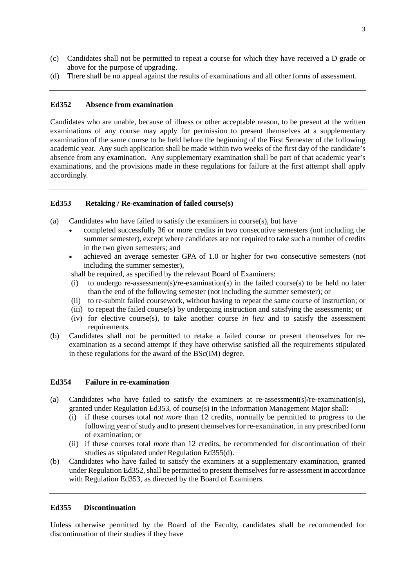- (c) Candidates shall not be permitted to repeat a course for which they have received a D grade or above for the purpose of upgrading.
- (d) There shall be no appeal against the results of examinations and all other forms of assessment.

### **Ed352 Absence from examination**

Candidates who are unable, because of illness or other acceptable reason, to be present at the written examinations of any course may apply for permission to present themselves at a supplementary examination of the same course to be held before the beginning of the First Semester of the following academic year. Any such application shall be made within two weeks of the first day of the candidate's absence from any examination. Any supplementary examination shall be part of that academic year's examinations, and the provisions made in these regulations for failure at the first attempt shall apply accordingly.

#### **Ed353 Retaking / Re-examination of failed course(s)**

- (a) Candidates who have failed to satisfy the examiners in course $(s)$ , but have
	- completed successfully 36 or more credits in two consecutive semesters (not including the summer semester), except where candidates are not required to take such a number of credits in the two given semesters; and
	- achieved an average semester GPA of 1.0 or higher for two consecutive semesters (not including the summer semester),

shall be required, as specified by the relevant Board of Examiners:

- (i) to undergo re-assessment(s)/re-examination(s) in the failed course(s) to be held no later than the end of the following semester (not including the summer semester); or
- (ii) to re-submit failed coursework, without having to repeat the same course of instruction; or
- (iii) to repeat the failed course(s) by undergoing instruction and satisfying the assessments; or
- (iv) for elective course(s), to take another course *in lieu* and to satisfy the assessment requirements.
- (b) Candidates shall not be permitted to retake a failed course or present themselves for reexamination as a second attempt if they have otherwise satisfied all the requirements stipulated in these regulations for the award of the BSc(IM) degree.

#### **Ed354 Failure in re-examination**

- (a) Candidates who have failed to satisfy the examiners at re-assessment(s)/re-examination(s), granted under Regulation Ed353, of course(s) in the Information Management Major shall:
	- (i) if these courses total *not more* than 12 credits, normally be permitted to progress to the following year of study and to present themselves for re-examination, in any prescribed form of examination; or
	- (ii) if these courses total *more* than 12 credits, be recommended for discontinuation of their studies as stipulated under Regulation Ed355(d).
- (b) Candidates who have failed to satisfy the examiners at a supplementary examination, granted under Regulation Ed352, shall be permitted to present themselves for re-assessment in accordance with Regulation Ed353, as directed by the Board of Examiners.

## **Ed355 Discontinuation**

Unless otherwise permitted by the Board of the Faculty, candidates shall be recommended for discontinuation of their studies if they have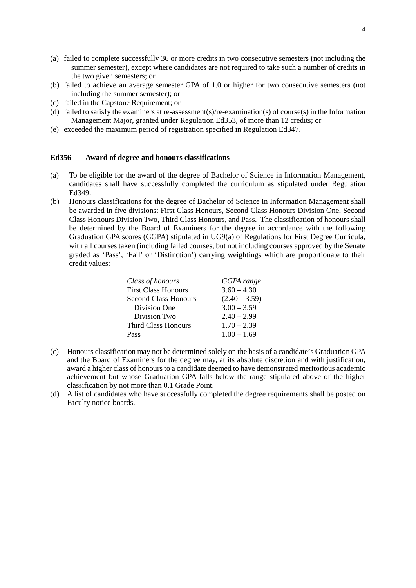- (a) failed to complete successfully 36 or more credits in two consecutive semesters (not including the summer semester), except where candidates are not required to take such a number of credits in the two given semesters; or
- (b) failed to achieve an average semester GPA of 1.0 or higher for two consecutive semesters (not including the summer semester); or
- (c) failed in the Capstone Requirement; or
- (d) failed to satisfy the examiners at re-assessment(s)/re-examination(s) of course(s) in the Information Management Major, granted under Regulation Ed353, of more than 12 credits; or
- (e) exceeded the maximum period of registration specified in Regulation Ed347.

#### **Ed356 Award of degree and honours classifications**

- (a) To be eligible for the award of the degree of Bachelor of Science in Information Management, candidates shall have successfully completed the curriculum as stipulated under Regulation Ed349.
- (b) Honours classifications for the degree of Bachelor of Science in Information Management shall be awarded in five divisions: First Class Honours, Second Class Honours Division One, Second Class Honours Division Two, Third Class Honours, and Pass. The classification of honours shall be determined by the Board of Examiners for the degree in accordance with the following Graduation GPA scores (GGPA) stipulated in UG9(a) of Regulations for First Degree Curricula, with all courses taken (including failed courses, but not including courses approved by the Senate graded as 'Pass', 'Fail' or 'Distinction') carrying weightings which are proportionate to their credit values:

| GGPA range      |
|-----------------|
| $3.60 - 4.30$   |
| $(2.40 - 3.59)$ |
| $3.00 - 3.59$   |
| $2.40 - 2.99$   |
| $1.70 - 2.39$   |
| $1.00 - 1.69$   |
|                 |

- (c) Honours classification may not be determined solely on the basis of a candidate's Graduation GPA and the Board of Examiners for the degree may, at its absolute discretion and with justification, award a higher class of honours to a candidate deemed to have demonstrated meritorious academic achievement but whose Graduation GPA falls below the range stipulated above of the higher classification by not more than 0.1 Grade Point.
- (d) A list of candidates who have successfully completed the degree requirements shall be posted on Faculty notice boards.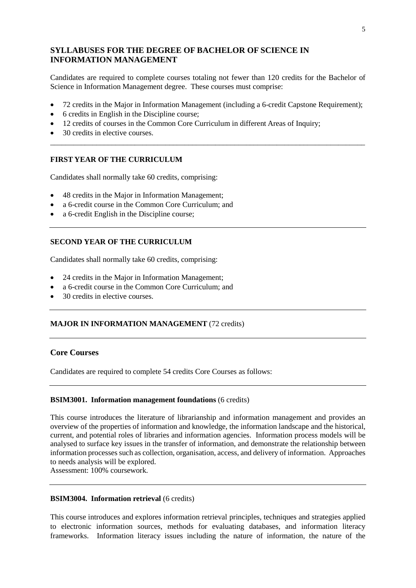# **SYLLABUSES FOR THE DEGREE OF BACHELOR OF SCIENCE IN INFORMATION MANAGEMENT**

Candidates are required to complete courses totaling not fewer than 120 credits for the Bachelor of Science in Information Management degree. These courses must comprise:

• 72 credits in the Major in Information Management (including a 6-credit Capstone Requirement);

\_\_\_\_\_\_\_\_\_\_\_\_\_\_\_\_\_\_\_\_\_\_\_\_\_\_\_\_\_\_\_\_\_\_\_\_\_\_\_\_\_\_\_\_\_\_\_\_\_\_\_\_\_\_\_\_\_\_\_\_\_\_\_\_\_\_\_\_\_\_\_\_\_\_\_\_\_\_\_\_\_\_

- 6 credits in English in the Discipline course;
- 12 credits of courses in the Common Core Curriculum in different Areas of Inquiry;
- 30 credits in elective courses.

## **FIRST YEAR OF THE CURRICULUM**

Candidates shall normally take 60 credits, comprising:

- 48 credits in the Major in Information Management;
- a 6-credit course in the Common Core Curriculum; and
- a 6-credit English in the Discipline course;

## **SECOND YEAR OF THE CURRICULUM**

Candidates shall normally take 60 credits, comprising:

- 24 credits in the Major in Information Management;
- a 6-credit course in the Common Core Curriculum; and
- 30 credits in elective courses.

## **MAJOR IN INFORMATION MANAGEMENT** (72 credits)

## **Core Courses**

Candidates are required to complete 54 credits Core Courses as follows:

## **BSIM3001. Information management foundations** (6 credits)

This course introduces the literature of librarianship and information management and provides an overview of the properties of information and knowledge, the information landscape and the historical, current, and potential roles of libraries and information agencies. Information process models will be analysed to surface key issues in the transfer of information, and demonstrate the relationship between information processes such as collection, organisation, access, and delivery of information. Approaches to needs analysis will be explored.

Assessment: 100% coursework.

## **BSIM3004. Information retrieval** (6 credits)

This course introduces and explores information retrieval principles, techniques and strategies applied to electronic information sources, methods for evaluating databases, and information literacy frameworks. Information literacy issues including the nature of information, the nature of the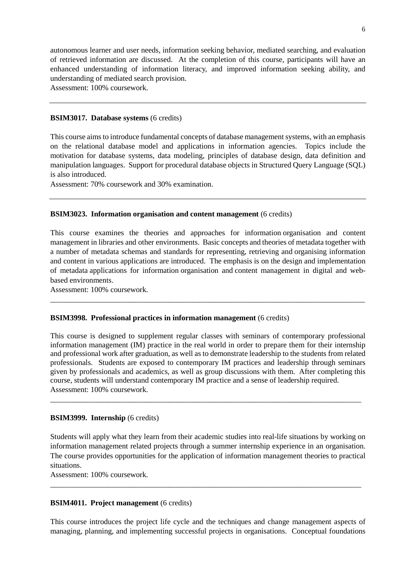autonomous learner and user needs, information seeking behavior, mediated searching, and evaluation of retrieved information are discussed. At the completion of this course, participants will have an enhanced understanding of information literacy, and improved information seeking ability, and understanding of mediated search provision.

Assessment: 100% coursework.

#### **BSIM3017. Database systems** (6 credits)

This course aims to introduce fundamental concepts of database management systems, with an emphasis on the relational database model and applications in information agencies. Topics include the motivation for database systems, data modeling, principles of database design, data definition and manipulation languages. Support for procedural database objects in Structured Query Language (SQL) is also introduced.

Assessment: 70% coursework and 30% examination.

#### **BSIM3023. Information organisation and content management** (6 credits)

This course examines the theories and approaches for information organisation and content management in libraries and other environments. Basic concepts and theories of metadata together with a number of metadata schemas and standards for representing, retrieving and organising information and content in various applications are introduced. The emphasis is on the design and implementation of metadata applications for information organisation and content management in digital and webbased environments.

\_\_\_\_\_\_\_\_\_\_\_\_\_\_\_\_\_\_\_\_\_\_\_\_\_\_\_\_\_\_\_\_\_\_\_\_\_\_\_\_\_\_\_\_\_\_\_\_\_\_\_\_\_\_\_\_\_\_\_\_\_\_\_\_\_\_\_\_\_\_\_\_\_\_\_\_\_\_\_\_\_\_

Assessment: 100% coursework.

## **BSIM3998. Professional practices in information management** (6 credits)

This course is designed to supplement regular classes with seminars of contemporary professional information management (IM) practice in the real world in order to prepare them for their internship and professional work after graduation, as well as to demonstrate leadership to the students from related professionals. Students are exposed to contemporary IM practices and leadership through seminars given by professionals and academics, as well as group discussions with them. After completing this course, students will understand contemporary IM practice and a sense of leadership required. Assessment: 100% coursework.

\_\_\_\_\_\_\_\_\_\_\_\_\_\_\_\_\_\_\_\_\_\_\_\_\_\_\_\_\_\_\_\_\_\_\_\_\_\_\_\_\_\_\_\_\_\_\_\_\_\_\_\_\_\_\_\_\_\_\_\_\_\_\_\_\_\_\_\_\_\_\_\_\_\_\_\_\_\_\_\_\_

#### **BSIM3999. Internship** (6 credits)

Students will apply what they learn from their academic studies into real-life situations by working on information management related projects through a summer internship experience in an organisation. The course provides opportunities for the application of information management theories to practical situations.

\_\_\_\_\_\_\_\_\_\_\_\_\_\_\_\_\_\_\_\_\_\_\_\_\_\_\_\_\_\_\_\_\_\_\_\_\_\_\_\_\_\_\_\_\_\_\_\_\_\_\_\_\_\_\_\_\_\_\_\_\_\_\_\_\_\_\_\_\_\_\_\_\_\_\_\_\_\_\_\_\_

Assessment: 100% coursework.

#### **BSIM4011. Project management** (6 credits)

This course introduces the project life cycle and the techniques and change management aspects of managing, planning, and implementing successful projects in organisations. Conceptual foundations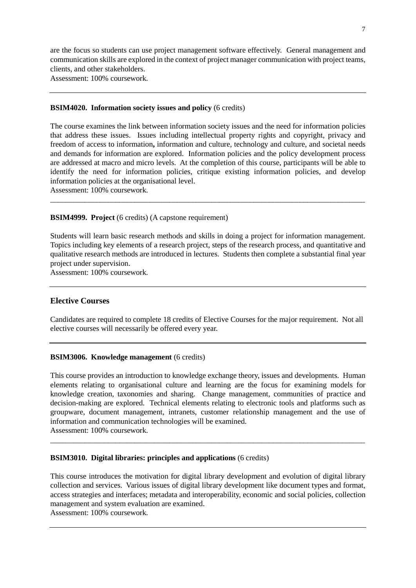are the focus so students can use project management software effectively. General management and communication skills are explored in the context of project manager communication with project teams, clients, and other stakeholders.

Assessment: 100% coursework.

#### **BSIM4020. Information society issues and policy** (6 credits)

The course examines the link between information society issues and the need for information policies that address these issues. Issues including intellectual property rights and copyright, privacy and freedom of access to information**,** information and culture, technology and culture, and societal needs and demands for information are explored. Information policies and the policy development process are addressed at macro and micro levels. At the completion of this course, participants will be able to identify the need for information policies, critique existing information policies, and develop information policies at the organisational level.

\_\_\_\_\_\_\_\_\_\_\_\_\_\_\_\_\_\_\_\_\_\_\_\_\_\_\_\_\_\_\_\_\_\_\_\_\_\_\_\_\_\_\_\_\_\_\_\_\_\_\_\_\_\_\_\_\_\_\_\_\_\_\_\_\_\_\_\_\_\_\_\_\_\_\_\_\_\_\_\_\_\_

Assessment: 100% coursework.

#### **BSIM4999. Project** (6 credits) (A capstone requirement)

Students will learn basic research methods and skills in doing a project for information management. Topics including key elements of a research project, steps of the research process, and quantitative and qualitative research methods are introduced in lectures. Students then complete a substantial final year project under supervision.

Assessment: 100% coursework.

## **Elective Courses**

Candidates are required to complete 18 credits of Elective Courses for the major requirement. Not all elective courses will necessarily be offered every year.

## **BSIM3006. Knowledge management** (6 credits)

This course provides an introduction to knowledge exchange theory, issues and developments. Human elements relating to organisational culture and learning are the focus for examining models for knowledge creation, taxonomies and sharing. Change management, communities of practice and decision-making are explored. Technical elements relating to electronic tools and platforms such as groupware, document management, intranets, customer relationship management and the use of information and communication technologies will be examined. Assessment: 100% coursework.

\_\_\_\_\_\_\_\_\_\_\_\_\_\_\_\_\_\_\_\_\_\_\_\_\_\_\_\_\_\_\_\_\_\_\_\_\_\_\_\_\_\_\_\_\_\_\_\_\_\_\_\_\_\_\_\_\_\_\_\_\_\_\_\_\_\_\_\_\_\_\_\_\_\_\_\_\_\_\_\_\_\_

## **BSIM3010. Digital libraries: principles and applications** (6 credits)

This course introduces the motivation for digital library development and evolution of digital library collection and services. Various issues of digital library development like document types and format, access strategies and interfaces; metadata and interoperability, economic and social policies, collection management and system evaluation are examined.

Assessment: 100% coursework.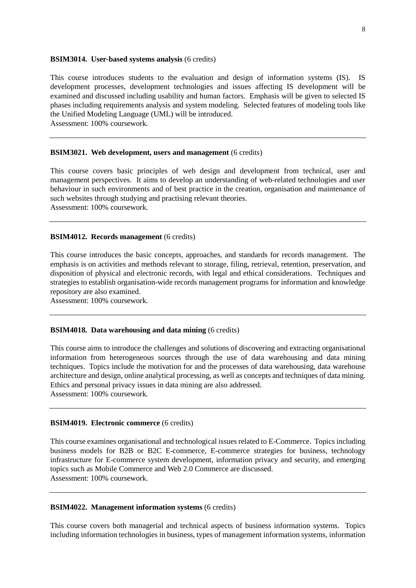#### **BSIM3014. User-based systems analysis** (6 credits)

This course introduces students to the evaluation and design of information systems (IS). IS development processes, development technologies and issues affecting IS development will be examined and discussed including usability and human factors. Emphasis will be given to selected IS phases including requirements analysis and system modeling. Selected features of modeling tools like the Unified Modeling Language (UML) will be introduced. Assessment: 100% coursework.

#### **BSIM3021. Web development, users and management** (6 credits)

This course covers basic principles of web design and development from technical, user and management perspectives. It aims to develop an understanding of web-related technologies and user behaviour in such environments and of best practice in the creation, organisation and maintenance of such websites through studying and practising relevant theories. Assessment: 100% coursework.

## **BSIM4012. Records management** (6 credits)

This course introduces the basic concepts, approaches, and standards for records management. The emphasis is on activities and methods relevant to storage, filing, retrieval, retention, preservation, and disposition of physical and electronic records, with legal and ethical considerations. Techniques and strategies to establish organisation-wide records management programs for information and knowledge repository are also examined.

Assessment: 100% coursework.

#### **BSIM4018. Data warehousing and data mining** (6 credits)

This course aims to introduce the challenges and solutions of discovering and extracting organisational information from heterogeneous sources through the use of data warehousing and data mining techniques. Topics include the motivation for and the processes of data warehousing, data warehouse architecture and design, online analytical processing, as well as concepts and techniques of data mining. Ethics and personal privacy issues in data mining are also addressed. Assessment: 100% coursework.

#### **BSIM4019. Electronic commerce** (6 credits)

This course examines organisational and technological issues related to E-Commerce. Topics including business models for B2B or B2C E-commerce, E-commerce strategies for business, technology infrastructure for E-commerce system development, information privacy and security, and emerging topics such as Mobile Commerce and Web 2.0 Commerce are discussed. Assessment: 100% coursework.

#### **BSIM4022. Management information systems** (6 credits)

This course covers both managerial and technical aspects of business information systems. Topics including information technologies in business, types of management information systems, information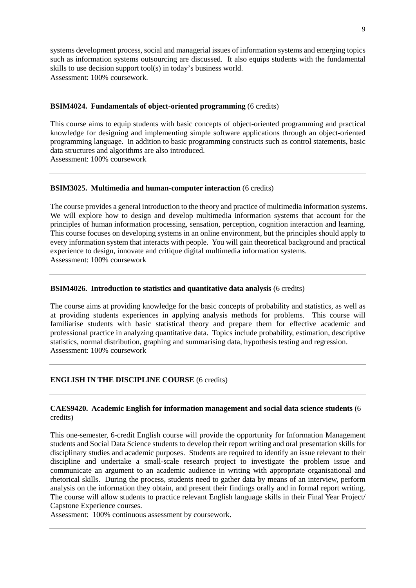systems development process, social and managerial issues of information systems and emerging topics such as information systems outsourcing are discussed. It also equips students with the fundamental skills to use decision support tool(s) in today's business world. Assessment: 100% coursework.

#### **BSIM4024. Fundamentals of object-oriented programming** (6 credits)

This course aims to equip students with basic concepts of object-oriented programming and practical knowledge for designing and implementing simple software applications through an object-oriented programming language. In addition to basic programming constructs such as control statements, basic data structures and algorithms are also introduced. Assessment: 100% coursework

### **BSIM3025. Multimedia and human-computer interaction** (6 credits)

The course provides a general introduction to the theory and practice of multimedia information systems. We will explore how to design and develop multimedia information systems that account for the principles of human information processing, sensation, perception, cognition interaction and learning. This course focuses on developing systems in an online environment, but the principles should apply to every information system that interacts with people. You will gain theoretical background and practical experience to design, innovate and critique digital multimedia information systems. Assessment: 100% coursework

## **BSIM4026. Introduction to statistics and quantitative data analysis** (6 credits)

The course aims at providing knowledge for the basic concepts of probability and statistics, as well as at providing students experiences in applying analysis methods for problems. This course will familiarise students with basic statistical theory and prepare them for effective academic and professional practice in analyzing quantitative data. Topics include probability, estimation, descriptive statistics, normal distribution, graphing and summarising data, hypothesis testing and regression. Assessment: 100% coursework

## **ENGLISH IN THE DISCIPLINE COURSE** (6 credits)

## **CAES9420. Academic English for information management and social data science students** (6 credits)

This one-semester, 6-credit English course will provide the opportunity for Information Management students and Social Data Science students to develop their report writing and oral presentation skills for disciplinary studies and academic purposes. Students are required to identify an issue relevant to their discipline and undertake a small-scale research project to investigate the problem issue and communicate an argument to an academic audience in writing with appropriate organisational and rhetorical skills. During the process, students need to gather data by means of an interview, perform analysis on the information they obtain, and present their findings orally and in formal report writing. The course will allow students to practice relevant English language skills in their Final Year Project/ Capstone Experience courses.

Assessment: 100% continuous assessment by coursework.